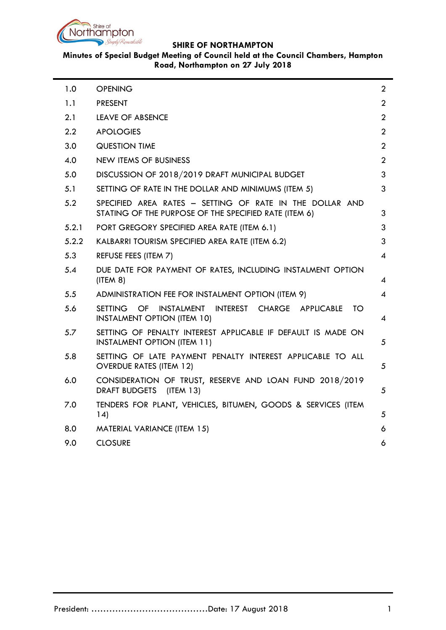

# **Minutes of Special Budget Meeting of Council held at the Council Chambers, Hampton Road, Northampton on 27 July 2018**

| 1.0   | <b>OPENING</b>                                                                                                       | $\overline{2}$           |  |
|-------|----------------------------------------------------------------------------------------------------------------------|--------------------------|--|
| 1.1   | <b>PRESENT</b>                                                                                                       | $\overline{2}$           |  |
| 2.1   | <b>LEAVE OF ABSENCE</b>                                                                                              | $\overline{2}$           |  |
| 2.2   | <b>APOLOGIES</b>                                                                                                     | $\overline{2}$           |  |
| 3.0   | <b>QUESTION TIME</b>                                                                                                 | $\overline{2}$           |  |
| 4.0   | <b>NEW ITEMS OF BUSINESS</b>                                                                                         | $\overline{2}$           |  |
| 5.0   | DISCUSSION OF 2018/2019 DRAFT MUNICIPAL BUDGET                                                                       | 3                        |  |
| 5.1   | 3<br>SETTING OF RATE IN THE DOLLAR AND MINIMUMS (ITEM 5)                                                             |                          |  |
| 5.2   | SPECIFIED AREA RATES - SETTING OF RATE IN THE DOLLAR AND<br>STATING OF THE PURPOSE OF THE SPECIFIED RATE (ITEM 6)    | 3                        |  |
| 5.2.1 | PORT GREGORY SPECIFIED AREA RATE (ITEM 6.1)                                                                          | 3                        |  |
| 5.2.2 | KALBARRI TOURISM SPECIFIED AREA RATE (ITEM 6.2)                                                                      | 3                        |  |
| 5.3   | REFUSE FEES (ITEM 7)                                                                                                 | $\overline{4}$           |  |
| 5.4   | DUE DATE FOR PAYMENT OF RATES, INCLUDING INSTALMENT OPTION<br>(ITERA 8)                                              | $\overline{4}$           |  |
| 5.5   | ADMINISTRATION FEE FOR INSTALMENT OPTION (ITEM 9)                                                                    | $\overline{\mathcal{A}}$ |  |
| 5.6   | OF.<br><b>INSTALMENT</b><br>INTEREST CHARGE APPLICABLE<br><b>SETTING</b><br>ТO<br><b>INSTALMENT OPTION (ITEM 10)</b> | $\overline{4}$           |  |
| 5.7   | SETTING OF PENALTY INTEREST APPLICABLE IF DEFAULT IS MADE ON<br><b>INSTALMENT OPTION (ITEM 11)</b>                   | 5                        |  |
| 5.8   | SETTING OF LATE PAYMENT PENALTY INTEREST APPLICABLE TO ALL<br><b>OVERDUE RATES (ITEM 12)</b>                         | 5                        |  |
| 6.0   | CONSIDERATION OF TRUST, RESERVE AND LOAN FUND 2018/2019<br>DRAFT BUDGETS (ITEM 13)                                   | 5                        |  |
| 7.0   | TENDERS FOR PLANT, VEHICLES, BITUMEN, GOODS & SERVICES (ITEM<br>14)                                                  | 5                        |  |
| 8.0   | <b>MATERIAL VARIANCE (ITEM 15)</b>                                                                                   | 6                        |  |
| 9.0   | <b>CLOSURE</b>                                                                                                       | 6                        |  |
|       |                                                                                                                      |                          |  |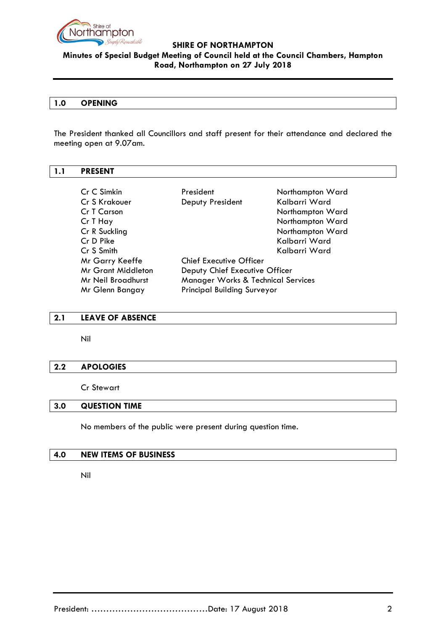

# **Minutes of Special Budget Meeting of Council held at the Council Chambers, Hampton Road, Northampton on 27 July 2018**

# <span id="page-1-0"></span>**1.0 OPENING**

The President thanked all Councillors and staff present for their attendance and declared the meeting open at 9.07am.

# <span id="page-1-1"></span>**1.1 PRESENT**

| Cr C Simkin               | President                          | Northampton Ward                   |  |
|---------------------------|------------------------------------|------------------------------------|--|
| Cr S Krakouer             | Deputy President                   | Kalbarri Ward                      |  |
| Cr T Carson               |                                    | Northampton Ward                   |  |
| Cr T Hay                  |                                    | Northampton Ward                   |  |
| Cr R Suckling             |                                    | Northampton Ward                   |  |
| Cr D Pike                 |                                    | Kalbarri Ward                      |  |
| Cr S Smith                |                                    | Kalbarri Ward                      |  |
| Mr Garry Keeffe           | <b>Chief Executive Officer</b>     |                                    |  |
| <b>Mr Grant Middleton</b> |                                    | Deputy Chief Executive Officer     |  |
| Mr Neil Broadhurst        | Manager Works & Technical Services |                                    |  |
| Mr Glenn Bangay           |                                    | <b>Principal Building Surveyor</b> |  |

#### <span id="page-1-2"></span>**2.1 LEAVE OF ABSENCE**

Nil

#### <span id="page-1-3"></span>**2.2 APOLOGIES**

Cr Stewart

#### <span id="page-1-4"></span>**3.0 QUESTION TIME**

No members of the public were present during question time.

#### <span id="page-1-5"></span>**4.0 NEW ITEMS OF BUSINESS**

Nil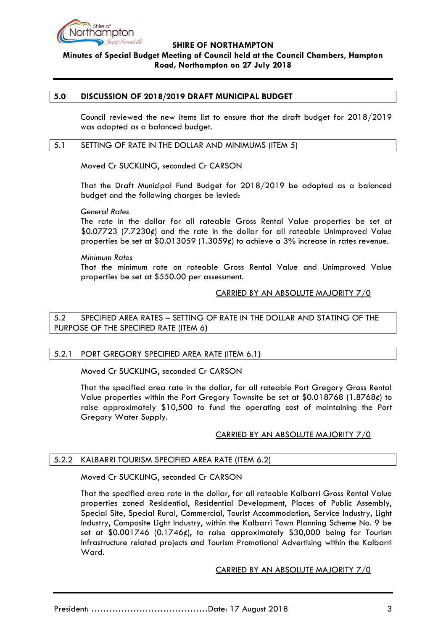

# **Minutes of Special Budget Meeting of Council held at the Council Chambers, Hampton Road, Northampton on 27 July 2018**

#### <span id="page-2-0"></span>**5.0 DISCUSSION OF 2018/2019 DRAFT MUNICIPAL BUDGET**

Council reviewed the new items list to ensure that the draft budget for 2018/2019 was adopted as a balanced budget.

#### <span id="page-2-1"></span>5.1 SETTING OF RATE IN THE DOLLAR AND MINIMUMS (ITEM 5)

Moved Cr SUCKLING, seconded Cr CARSON

That the Draft Municipal Fund Budget for 2018/2019 be adopted as a balanced budget and the following charges be levied:

*General Rates*

The rate in the dollar for all rateable Gross Rental Value properties be set at \$0.07723 (7.7230¢) and the rate in the dollar for all rateable Unimproved Value properties be set at  $0.013059$  (1.3059¢) to achieve a 3% increase in rates revenue.

#### *Minimum Rates*

That the minimum rate on rateable Gross Rental Value and Unimproved Value properties be set at \$550.00 per assessment.

# CARRIED BY AN ABSOLUTE MAJORITY 7/0

<span id="page-2-2"></span>5.2 SPECIFIED AREA RATES – SETTING OF RATE IN THE DOLLAR AND STATING OF THE PURPOSE OF THE SPECIFIED RATE (ITEM 6**)**

#### <span id="page-2-3"></span>5.2.1 PORT GREGORY SPECIFIED AREA RATE (ITEM 6.1**)**

Moved Cr SUCKLING, seconded Cr CARSON

That the specified area rate in the dollar, for all rateable Port Gregory Gross Rental Value properties within the Port Gregory Townsite be set at  $$0.018768$  (1.8768 $¢$ ) to raise approximately \$10,500 to fund the operating cost of maintaining the Port Gregory Water Supply.

#### CARRIED BY AN ABSOLUTE MAJORITY 7/0

#### <span id="page-2-4"></span>5.2.2 KALBARRI TOURISM SPECIFIED AREA RATE (ITEM 6.2)

Moved Cr SUCKLING, seconded Cr CARSON

That the specified area rate in the dollar, for all rateable Kalbarri Gross Rental Value properties zoned Residential, Residential Development, Places of Public Assembly, Special Site, Special Rural, Commercial, Tourist Accommodation, Service Industry, Light Industry, Composite Light Industry, within the Kalbarri Town Planning Scheme No. 9 be set at \$0.001746 (0.1746¢), to raise approximately \$30,000 being for Tourism Infrastructure related projects and Tourism Promotional Advertising within the Kalbarri Ward.

CARRIED BY AN ABSOLUTE MAJORITY 7/0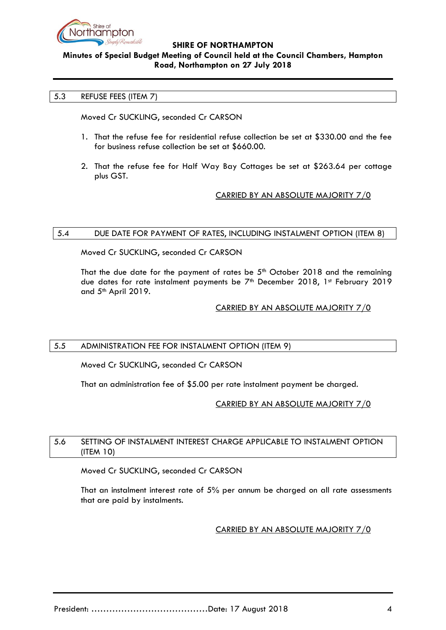

# **Minutes of Special Budget Meeting of Council held at the Council Chambers, Hampton Road, Northampton on 27 July 2018**

# <span id="page-3-0"></span>5.3 REFUSE FEES (ITEM 7)

Moved Cr SUCKLING, seconded Cr CARSON

- 1. That the refuse fee for residential refuse collection be set at \$330.00 and the fee for business refuse collection be set at \$660.00.
- 2. That the refuse fee for Half Way Bay Cottages be set at \$263.64 per cottage plus GST.

# CARRIED BY AN ABSOLUTE MAJORITY 7/0

#### <span id="page-3-1"></span>5.4 DUE DATE FOR PAYMENT OF RATES, INCLUDING INSTALMENT OPTION (ITEM 8)

Moved Cr SUCKLING, seconded Cr CARSON

That the due date for the payment of rates be  $5<sup>th</sup>$  October 2018 and the remaining due dates for rate instalment payments be 7<sup>th</sup> December 2018, 1st February 2019 and 5<sup>th</sup> April 2019.

# CARRIED BY AN ABSOLUTE MAJORITY 7/0

# <span id="page-3-2"></span>5.5 ADMINISTRATION FEE FOR INSTALMENT OPTION (ITEM 9)

Moved Cr SUCKLING, seconded Cr CARSON

That an administration fee of \$5.00 per rate instalment payment be charged.

# CARRIED BY AN ABSOLUTE MAJORITY 7/0

#### <span id="page-3-3"></span>5.6 SETTING OF INSTALMENT INTEREST CHARGE APPLICABLE TO INSTALMENT OPTION (ITEM 10)

Moved Cr SUCKLING, seconded Cr CARSON

That an instalment interest rate of 5% per annum be charged on all rate assessments that are paid by instalments.

#### CARRIED BY AN ABSOLUTE MAJORITY 7/0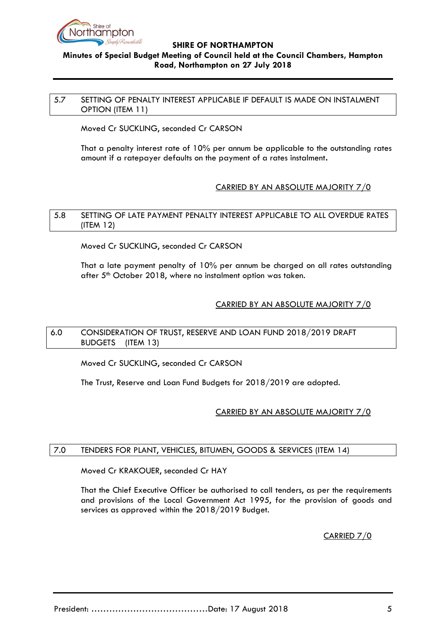

# **Minutes of Special Budget Meeting of Council held at the Council Chambers, Hampton Road, Northampton on 27 July 2018**

#### <span id="page-4-0"></span>5.7 SETTING OF PENALTY INTEREST APPLICABLE IF DEFAULT IS MADE ON INSTALMENT OPTION (ITEM 11)

Moved Cr SUCKLING, seconded Cr CARSON

That a penalty interest rate of 10% per annum be applicable to the outstanding rates amount if a ratepayer defaults on the payment of a rates instalment**.**

# CARRIED BY AN ABSOLUTE MAJORITY 7/0

## <span id="page-4-1"></span>5.8 SETTING OF LATE PAYMENT PENALTY INTEREST APPLICABLE TO ALL OVERDUE RATES (ITEM 12)

Moved Cr SUCKLING, seconded Cr CARSON

That a late payment penalty of 10% per annum be charged on all rates outstanding after 5<sup>th</sup> October 2018, where no instalment option was taken.

# CARRIED BY AN ABSOLUTE MAJORITY 7/0

# <span id="page-4-2"></span>6.0 CONSIDERATION OF TRUST, RESERVE AND LOAN FUND 2018/2019 DRAFT BUDGETS(ITEM 13)

Moved Cr SUCKLING, seconded Cr CARSON

The Trust, Reserve and Loan Fund Budgets for 2018/2019 are adopted.

# CARRIED BY AN ABSOLUTE MAJORITY 7/0

# <span id="page-4-3"></span>7.0 TENDERS FOR PLANT, VEHICLES, BITUMEN, GOODS & SERVICES (ITEM 14)

Moved Cr KRAKOUER, seconded Cr HAY

That the Chief Executive Officer be authorised to call tenders, as per the requirements and provisions of the Local Government Act 1995, for the provision of goods and services as approved within the 2018/2019 Budget.

CARRIED 7/0